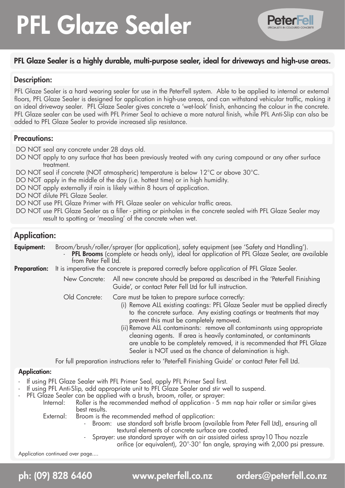# PFL Glaze Sealer



# PFL Glaze Sealer is a highly durable, multi-purpose sealer, ideal for driveways and high-use areas.

# Description:

PFL Glaze Sealer is a hard wearing sealer for use in the PeterFell system. Able to be applied to internal or external floors, PFL Glaze Sealer is designed for application in high-use areas, and can withstand vehicular traffic, making it an ideal driveway sealer. PFL Glaze Sealer gives concrete a 'wet-look' finish, enhancing the colour in the concrete. PFL Glaze sealer can be used with PFL Primer Seal to achieve a more natural finish, while PFL Anti-Slip can also be added to PFL Glaze Sealer to provide increased slip resistance.

# Precautions:

DO NOT seal any concrete under 28 days old.

- DO NOT apply to any surface that has been previously treated with any curing compound or any other surface treatment.
- DO NOT seal if concrete (NOT atmospheric) temperature is below 12°C or above 30°C.
- DO NOT apply in the middle of the day (i.e. hottest time) or in high humidity.
- DO NOT apply externally if rain is likely within 8 hours of application.
- DO NOT dilute PFL Glaze Sealer.
- DO NOT use PFL Glaze Primer with PFL Glaze sealer on vehicular traffic areas.
- DO NOT use PFL Glaze Sealer as a filler pitting or pinholes in the concrete sealed with PFL Glaze Sealer may result to spotting or 'measling' of the concrete when wet.

# Application:

**Equipment:** Broom/brush/roller/sprayer (for application), safety equipment (see 'Safety and Handling'). PFL Brooms (complete or heads only), ideal for application of PFL Glaze Sealer, are available from Peter Fell Ltd.

- Preparation: It is imperative the concrete is prepared correctly before application of PFL Glaze Sealer.
	- New Concrete: All new concrete should be prepared as described in the 'PeterFell Finishing Guide', or contact Peter Fell Ltd for full instruction.

Old Concrete: Care must be taken to prepare surface correctly:

- (i) Remove ALL existing coatings: PFL Glaze Sealer must be applied directly to the concrete surface. Any existing coatings or treatments that may prevent this must be completely removed.
- (ii) Remove ALL contaminants: remove all contaminants using appropriate cleaning agents. If area is heavily contaminated, or contaminants are unable to be completely removed, it is recommended that PFL Glaze Sealer is NOT used as the chance of delamination is high.

 For full preparation instructions refer to 'PeterFell Finishing Guide' or contact Peter Fell Ltd.

# Application:

- If using PFL Glaze Sealer with PFL Primer Seal, apply PFL Primer Seal first.
- If using PFL Anti-Slip, add appropriate unit to PFL Glaze Sealer and stir well to suspend.
- PFL Glaze Sealer can be applied with a brush, broom, roller, or sprayer:<br>Internal: Roller is the recommended method of application 5 m
	- Roller is the recommended method of application 5 mm nap hair roller or similar gives best results.

External: Broom is the recommended method of application:

- Broom: use standard soft bristle broom (available from Peter Fell Ltd), ensuring all textural elements of concrete surface are coated.
- Sprayer: use standard sprayer with an air assisted airless spray 10 Thou nozzle

 orifice (or equivalent), 20°-30° fan angle, spraying with 2,000 psi pressure.

Application continued over page....

ph: (09) 828 6460 www.peterfell.co.nz orders@peterfell.co.nz